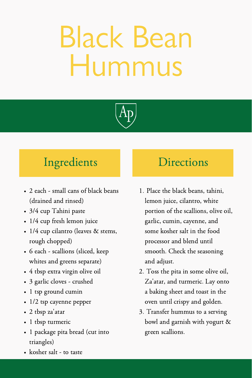## Black Bean Hummus



### Ingredients Directions

- 2 each small cans of black beans (drained and rinsed)
- 3/4 cup Tahini paste
- 1/4 cup fresh lemon juice
- 1/4 cup cilantro (leaves & stems, rough chopped)
- 6 each scallions (sliced, keep whites and greens separate)
- 4 tbsp extra virgin olive oil
- 3 garlic cloves crushed
- 1 tsp ground cumin
- 1/2 tsp cayenne pepper
- 2 tbsp za'atar
- 1 tbsp turmeric
- 1 package pita bread (cut into triangles)
- kosher salt to taste

- 1. Place the black beans, tahini, lemon juice, cilantro, white portion of the scallions, olive oil, garlic, cumin, cayenne, and some kosher salt in the food processor and blend until smooth. Check the seasoning and adjust.
- 2. Toss the pita in some olive oil, Za'atar, and turmeric. Lay onto a baking sheet and toast in the oven until crispy and golden.
- Transfer hummus to a serving 3. bowl and garnish with yogurt & green scallions.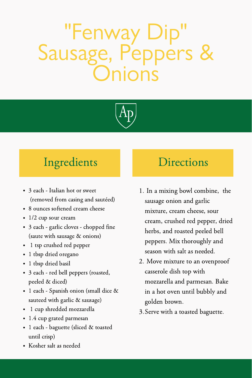### "Fenway Dip" Sausage, Peppers & inns



### Ingredients Directions

- 3 each Italian hot or sweet (removed from casing and sautéed)
- 8 ounces softened cream cheese
- $\cdot$  1/2 cup sour cream
- 3 each garlic cloves chopped fine (saute with sausage & onions)
- 1 tsp crushed red pepper
- 1 tbsp dried oregano
- 1 tbsp dried basil
- 3 each red bell peppers (roasted, peeled & diced)
- 1 each Spanish onion (small dice & sauteed with garlic & sausage)
- 1 cup shredded mozzarella
- 1.4 cup grated parmesan
- 1 each baguette (sliced & toasted until crisp)
- Kosher salt as needed

- 1. In a mixing bowl combine, the sausage onion and garlic mixture, cream cheese, sour cream, crushed red pepper, dried herbs, and roasted peeled bell peppers. Mix thoroughly and season with salt as needed.
- 2. Move mixture to an ovenproof casserole dish top with mozzarella and parmesan. Bake in a hot oven until bubbly and golden brown.
- Serve with a toasted baguette. 3.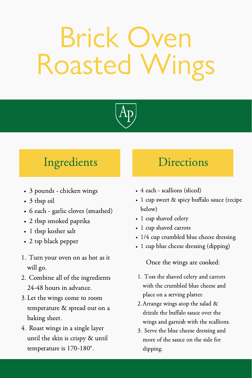## **Brick Over**<br>Dasted Wir Roasted



### Ingredients Directions

- 3 pounds chicken wings
- 3 tbsp oil
- 6 each garlic cloves (smashed)
- 2 tbsp smoked paprika
- 1 tbsp kosher salt
- 2 tsp black pepper
- 1. Turn your oven on as hot as it will go.
- 2. Combine all of the ingredients 24-48 hours in advance.
- Let the wings come to room 3. temperature & spread out on a baking sheet.
- 4. Roast wings in a single laver until the skin is crispy & until temperature is 170-180°.

- 4 each scallions (sliced)
- 1 cup sweet & spicy buffalo sauce (recipe below)
- 1 cup shaved celery
- 1 cup shaved carrots
- 1/4 cup crumbled blue cheese dressing
- 1 cup blue cheese dressing (dipping)

Once the wings are cooked:

- 1. Toss the shaved celery and carrots with the crumbled blue cheese and place on a serving platter.
- Arrange wings atop the salad & 2. drizzle the buffalo sauce over the wings and garnish with the scallions.
- Serve the blue cheese dressing and 3. more of the sauce on the side for dipping.